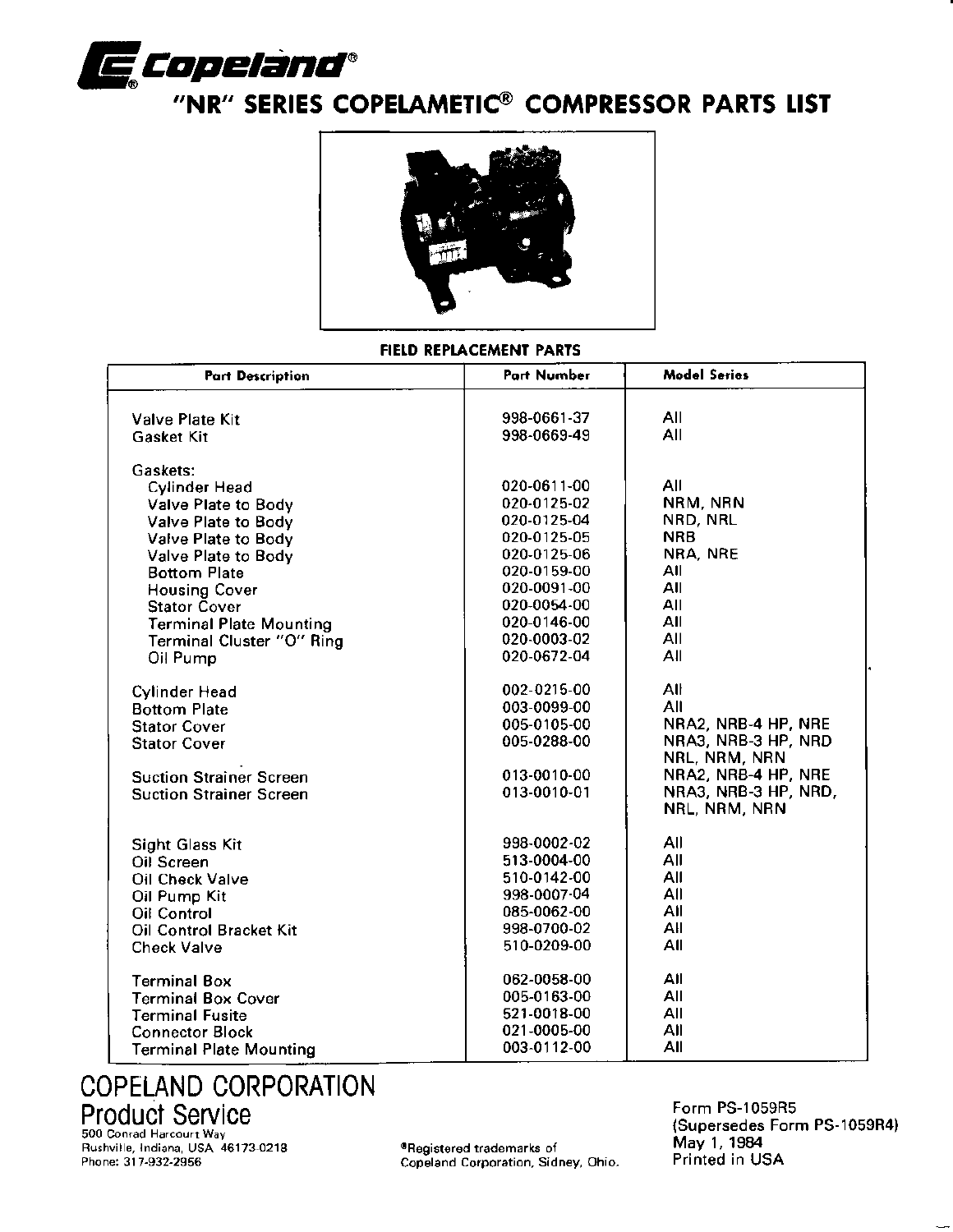

# "NR" SERIES COPELAMETIC® COMPRESSOR PARTS LIST



### FIELD REPLACEMENT PARTS

| <b>Part Description</b>        | Part Number | <b>Model Series</b>                  |  |
|--------------------------------|-------------|--------------------------------------|--|
| <b>Valve Plate Kit</b>         | 998-0661-37 | All                                  |  |
| <b>Gasket Kit</b>              | 998-0669-49 | All                                  |  |
| Gaskets:                       |             |                                      |  |
| Cylinder Head                  | 020-0611-00 | All                                  |  |
| Valve Plate to Body            | 020-0125-02 | NRM, NRN                             |  |
| Valve Plate to Body            | 020-0125-04 | NRD, NRL                             |  |
| Valve Plate to Body            | 020-0125-05 | <b>NRB</b>                           |  |
| Valve Plate to Body            | 020-0125-06 | NRA, NRE                             |  |
| <b>Bottom Plate</b>            | 020-0159-00 | All                                  |  |
| <b>Housing Cover</b>           | 020-0091-00 | All                                  |  |
| <b>Stator Cover</b>            | 020-0054-00 | All                                  |  |
| <b>Terminal Plate Mounting</b> | 020-0146-00 | All                                  |  |
| Terminal Cluster "O" Ring      | 020-0003-02 | All                                  |  |
| Oil Pump                       | 020-0672-04 | All                                  |  |
| <b>Cylinder Head</b>           | 002-0215-00 | All                                  |  |
| <b>Bottom Plate</b>            | 003-0099-00 | All                                  |  |
| <b>Stator Cover</b>            | 005-0105-00 | NRA2, NRB-4 HP, NRE                  |  |
| <b>Stator Cover</b>            | 005-0288-00 | NRA3, NRB-3 HP, NRD<br>NRL, NRM, NRN |  |
| <b>Suction Strainer Screen</b> | 013-0010-00 | NRA2, NRB-4 HP, NRE                  |  |
| <b>Suction Strainer Screen</b> | 013-0010-01 | NRA3, NRB-3 HP, NRD,                 |  |
|                                |             | NRL, NRM, NRN                        |  |
| <b>Sight Glass Kit</b>         | 998-0002-02 | All                                  |  |
| Oil Screen                     | 513-0004-00 | All                                  |  |
| Oil Check Valve                | 510-0142-00 | All                                  |  |
| Oil Pump Kit                   | 998-0007-04 | All                                  |  |
| <b>Oil Control</b>             | 085-0062-00 | All                                  |  |
| Oil Control Bracket Kit        | 998-0700-02 | All                                  |  |
| <b>Check Valve</b>             | 510-0209-00 | All                                  |  |
| <b>Terminal Box</b>            | 062-0058-00 | All                                  |  |
| <b>Terminal Box Cover</b>      | 005-0163-00 | All                                  |  |
| <b>Terminal Fusite</b>         | 521-0018-00 | All                                  |  |
| <b>Connector Block</b>         | 021-0005-00 | All                                  |  |
| Terminal Plate Mounting        | 003-0112-00 | All                                  |  |

# **COPELAND CORPORATION** Product Service

Rushville, Indiana, USA 46173-0218<br>Phone: 317-932-2956

®Registered trademarks of<br>Copeland Corporation, Sidney, Ohio.

Form PS-1059R5 (Supersedes Form PS-1059R4) May 1, 1984<br>Printed in USA